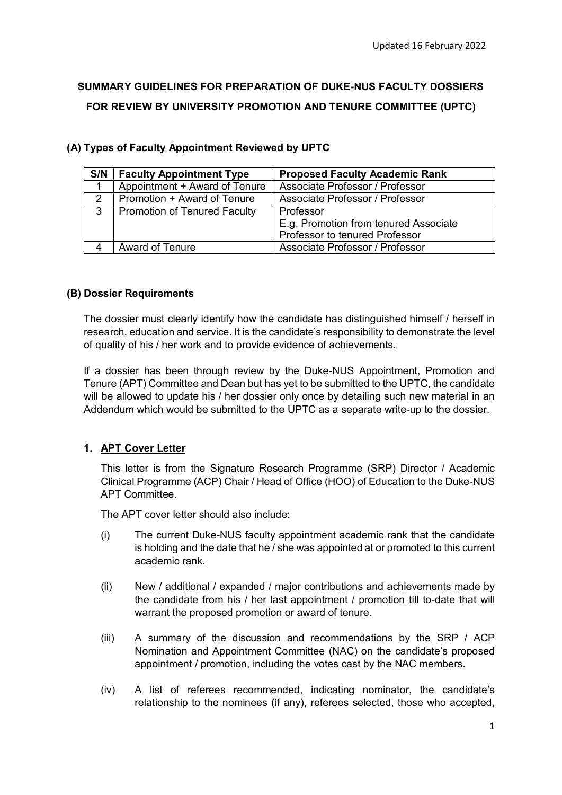# **SUMMARY GUIDELINES FOR PREPARATION OF DUKE-NUS FACULTY DOSSIERS FOR REVIEW BY UNIVERSITY PROMOTION AND TENURE COMMITTEE (UPTC)**

| S/N | <b>Faculty Appointment Type</b> | <b>Proposed Faculty Academic Rank</b> |  |  |  |  |  |  |  |  |  |
|-----|---------------------------------|---------------------------------------|--|--|--|--|--|--|--|--|--|
|     | Appointment + Award of Tenure   | Associate Professor / Professor       |  |  |  |  |  |  |  |  |  |
| 2   | Promotion + Award of Tenure     | Associate Professor / Professor       |  |  |  |  |  |  |  |  |  |
| 3   | Promotion of Tenured Faculty    | Professor                             |  |  |  |  |  |  |  |  |  |
|     |                                 | E.g. Promotion from tenured Associate |  |  |  |  |  |  |  |  |  |
|     |                                 | Professor to tenured Professor        |  |  |  |  |  |  |  |  |  |
|     | <b>Award of Tenure</b>          | Associate Professor / Professor       |  |  |  |  |  |  |  |  |  |

# **(A) Types of Faculty Appointment Reviewed by UPTC**

# **(B) Dossier Requirements**

The dossier must clearly identify how the candidate has distinguished himself / herself in research, education and service. It is the candidate's responsibility to demonstrate the level of quality of his / her work and to provide evidence of achievements.

If a dossier has been through review by the Duke-NUS Appointment, Promotion and Tenure (APT) Committee and Dean but has yet to be submitted to the UPTC, the candidate will be allowed to update his / her dossier only once by detailing such new material in an Addendum which would be submitted to the UPTC as a separate write-up to the dossier.

## **1. APT Cover Letter**

This letter is from the Signature Research Programme (SRP) Director / Academic Clinical Programme (ACP) Chair / Head of Office (HOO) of Education to the Duke-NUS APT Committee.

The APT cover letter should also include:

- (i) The current Duke-NUS faculty appointment academic rank that the candidate is holding and the date that he / she was appointed at or promoted to this current academic rank.
- (ii) New / additional / expanded / major contributions and achievements made by the candidate from his / her last appointment / promotion till to-date that will warrant the proposed promotion or award of tenure.
- (iii) A summary of the discussion and recommendations by the SRP / ACP Nomination and Appointment Committee (NAC) on the candidate's proposed appointment / promotion, including the votes cast by the NAC members.
- (iv) A list of referees recommended, indicating nominator, the candidate's relationship to the nominees (if any), referees selected, those who accepted,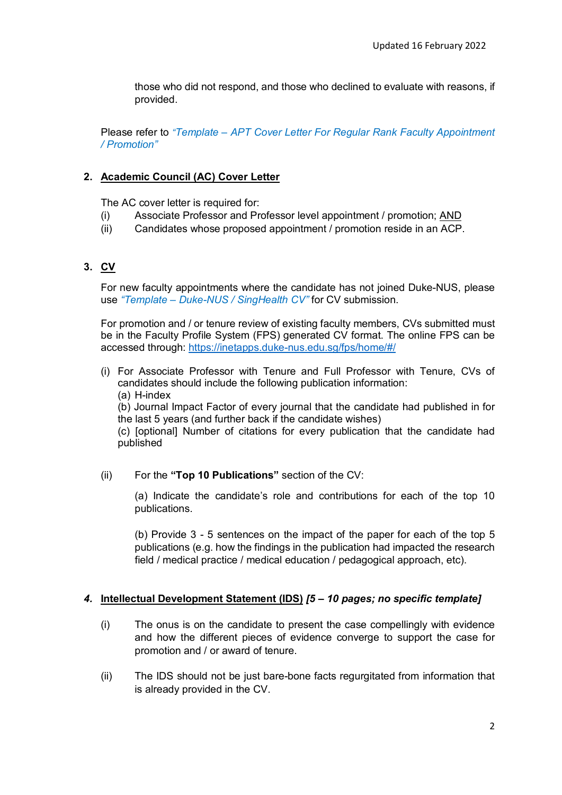those who did not respond, and those who declined to evaluate with reasons, if provided.

Please refer to *"Template – [APT Cover Letter For Regular Rank Faculty Appointment](https://www.duke-nus.edu.sg/docs/default-source/academic-medicine-docs/fdr/6-template---apt-cover-letter-for-rr-faculty-(18-nov-2020)_v1.docx)  / Promotion"*

## **2. Academic Council (AC) Cover Letter**

The AC cover letter is required for:

- (i) Associate Professor and Professor level appointment / promotion; AND
- (ii) Candidates whose proposed appointment / promotion reside in an ACP.

# **3. CV**

For new faculty appointments where the candidate has not joined Duke-NUS, please use *"Template – [Duke-NUS / SingHealth CV"](https://www.duke-nus.edu.sg/docs/default-source/academic-medicine-docs/fdr/9-duke-nus-cv-template-(1-july-2020).docx)* for CV submission.

For promotion and / or tenure review of existing faculty members, CVs submitted must be in the Faculty Profile System (FPS) generated CV format. The online FPS can be accessed through:<https://inetapps.duke-nus.edu.sg/fps/home/#/>

(i) For Associate Professor with Tenure and Full Professor with Tenure, CVs of candidates should include the following publication information: (a) H-index

(b) Journal Impact Factor of every journal that the candidate had published in for the last 5 years (and further back if the candidate wishes)

(c) [optional] Number of citations for every publication that the candidate had published

(ii) For the **"Top 10 Publications"** section of the CV:

(a) Indicate the candidate's role and contributions for each of the top 10 publications.

(b) Provide 3 - 5 sentences on the impact of the paper for each of the top 5 publications (e.g. how the findings in the publication had impacted the research field / medical practice / medical education / pedagogical approach, etc).

## *4.* **Intellectual Development Statement (IDS)** *[5 – 10 pages; no specific template]*

- (i) The onus is on the candidate to present the case compellingly with evidence and how the different pieces of evidence converge to support the case for promotion and / or award of tenure.
- (ii) The IDS should not be just bare-bone facts regurgitated from information that is already provided in the CV.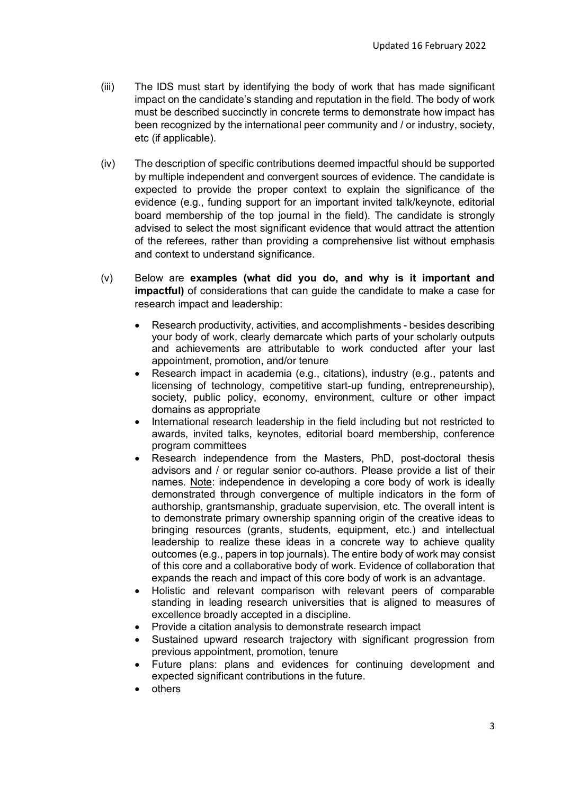- (iii) The IDS must start by identifying the body of work that has made significant impact on the candidate's standing and reputation in the field. The body of work must be described succinctly in concrete terms to demonstrate how impact has been recognized by the international peer community and / or industry, society, etc (if applicable).
- (iv) The description of specific contributions deemed impactful should be supported by multiple independent and convergent sources of evidence. The candidate is expected to provide the proper context to explain the significance of the evidence (e.g., funding support for an important invited talk/keynote, editorial board membership of the top journal in the field). The candidate is strongly advised to select the most significant evidence that would attract the attention of the referees, rather than providing a comprehensive list without emphasis and context to understand significance.
- (v) Below are **examples (what did you do, and why is it important and impactful)** of considerations that can guide the candidate to make a case for research impact and leadership:
	- Research productivity, activities, and accomplishments besides describing your body of work, clearly demarcate which parts of your scholarly outputs and achievements are attributable to work conducted after your last appointment, promotion, and/or tenure
	- Research impact in academia (e.g., citations), industry (e.g., patents and licensing of technology, competitive start-up funding, entrepreneurship), society, public policy, economy, environment, culture or other impact domains as appropriate
	- International research leadership in the field including but not restricted to awards, invited talks, keynotes, editorial board membership, conference program committees
	- Research independence from the Masters, PhD, post-doctoral thesis advisors and / or regular senior co-authors. Please provide a list of their names. Note: independence in developing a core body of work is ideally demonstrated through convergence of multiple indicators in the form of authorship, grantsmanship, graduate supervision, etc. The overall intent is to demonstrate primary ownership spanning origin of the creative ideas to bringing resources (grants, students, equipment, etc.) and intellectual leadership to realize these ideas in a concrete way to achieve quality outcomes (e.g., papers in top journals). The entire body of work may consist of this core and a collaborative body of work. Evidence of collaboration that expands the reach and impact of this core body of work is an advantage.
	- Holistic and relevant comparison with relevant peers of comparable standing in leading research universities that is aligned to measures of excellence broadly accepted in a discipline.
	- Provide a citation analysis to demonstrate research impact
	- Sustained upward research trajectory with significant progression from previous appointment, promotion, tenure
	- Future plans: plans and evidences for continuing development and expected significant contributions in the future.
	- others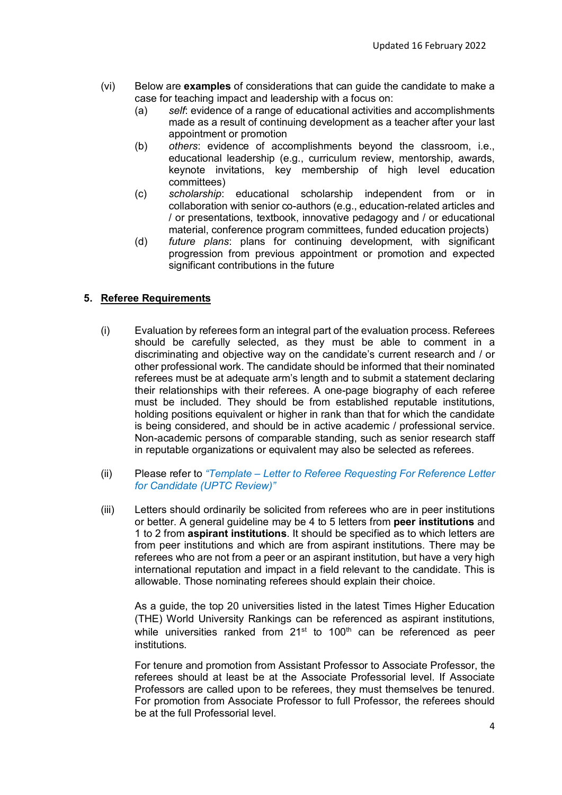- (vi) Below are **examples** of considerations that can guide the candidate to make a case for teaching impact and leadership with a focus on:
	- (a) *self*: evidence of a range of educational activities and accomplishments made as a result of continuing development as a teacher after your last appointment or promotion
	- (b) *others*: evidence of accomplishments beyond the classroom, i.e., educational leadership (e.g., curriculum review, mentorship, awards, keynote invitations, key membership of high level education committees)
	- (c) *scholarship*: educational scholarship independent from or in collaboration with senior co-authors (e.g., education-related articles and / or presentations, textbook, innovative pedagogy and / or educational material, conference program committees, funded education projects)
	- (d) *future plans*: plans for continuing development, with significant progression from previous appointment or promotion and expected significant contributions in the future

# **5. Referee Requirements**

- (i) Evaluation by referees form an integral part of the evaluation process. Referees should be carefully selected, as they must be able to comment in a discriminating and objective way on the candidate's current research and / or other professional work. The candidate should be informed that their nominated referees must be at adequate arm's length and to submit a statement declaring their relationships with their referees. A one-page biography of each referee must be included. They should be from established reputable institutions, holding positions equivalent or higher in rank than that for which the candidate is being considered, and should be in active academic / professional service. Non-academic persons of comparable standing, such as senior research staff in reputable organizations or equivalent may also be selected as referees.
- (ii) Please refer to *"Template – [Letter to Referee Requesting For Reference Letter](https://www.duke-nus.edu.sg/docs/default-source/academic-medicine-docs/fdr/23-template-letter-to-referee-requestg-for-ref-letter-for-candidt-(uptc-review)(18feb2022).docx) for Candidate (UPTC Review)"*
- (iii) Letters should ordinarily be solicited from referees who are in peer institutions or better. A general guideline may be 4 to 5 letters from **peer institutions** and 1 to 2 from **aspirant institutions**. It should be specified as to which letters are from peer institutions and which are from aspirant institutions. There may be referees who are not from a peer or an aspirant institution, but have a very high international reputation and impact in a field relevant to the candidate. This is allowable. Those nominating referees should explain their choice.

As a guide, the top 20 universities listed in the latest Times Higher Education [\(THE\) World University Rankings can be referenced as aspirant institutions,](https://www.timeshighereducation.com/world-university-rankings/2022/world-ranking#!/page/0/length/25/sort_by/rank/sort_order/asc/cols/stats)  while universities ranked from  $21^{st}$  to  $100^{th}$  can be referenced as peer institutions.

For tenure and promotion from Assistant Professor to Associate Professor, the referees should at least be at the Associate Professorial level. If Associate Professors are called upon to be referees, they must themselves be tenured. For promotion from Associate Professor to full Professor, the referees should be at the full Professorial level.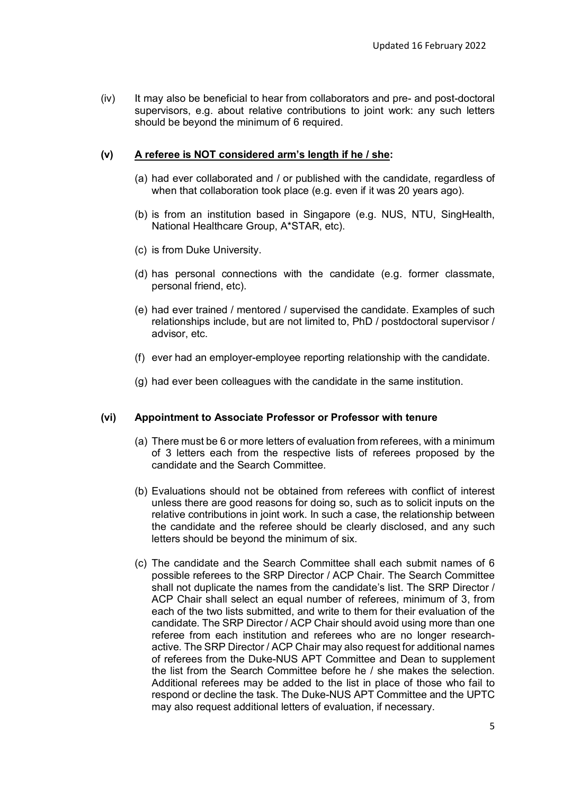(iv) It may also be beneficial to hear from collaborators and pre- and post-doctoral supervisors, e.g. about relative contributions to joint work: any such letters should be beyond the minimum of 6 required.

## **(v) A referee is NOT considered arm's length if he / she:**

- (a) had ever collaborated and / or published with the candidate, regardless of when that collaboration took place (e.g. even if it was 20 years ago).
- (b) is from an institution based in Singapore (e.g. NUS, NTU, SingHealth, National Healthcare Group, A\*STAR, etc).
- (c) is from Duke University.
- (d) has personal connections with the candidate (e.g. former classmate, personal friend, etc).
- (e) had ever trained / mentored / supervised the candidate. Examples of such relationships include, but are not limited to, PhD / postdoctoral supervisor / advisor, etc.
- (f) ever had an employer-employee reporting relationship with the candidate.
- (g) had ever been colleagues with the candidate in the same institution.

#### **(vi) Appointment to Associate Professor or Professor with tenure**

- (a) There must be 6 or more letters of evaluation from referees, with a minimum of 3 letters each from the respective lists of referees proposed by the candidate and the Search Committee.
- (b) Evaluations should not be obtained from referees with conflict of interest unless there are good reasons for doing so, such as to solicit inputs on the relative contributions in joint work. In such a case, the relationship between the candidate and the referee should be clearly disclosed, and any such letters should be beyond the minimum of six.
- (c) The candidate and the Search Committee shall each submit names of 6 possible referees to the SRP Director / ACP Chair. The Search Committee shall not duplicate the names from the candidate's list. The SRP Director / ACP Chair shall select an equal number of referees, minimum of 3, from each of the two lists submitted, and write to them for their evaluation of the candidate. The SRP Director / ACP Chair should avoid using more than one referee from each institution and referees who are no longer researchactive. The SRP Director / ACP Chair may also request for additional names of referees from the Duke-NUS APT Committee and Dean to supplement the list from the Search Committee before he / she makes the selection. Additional referees may be added to the list in place of those who fail to respond or decline the task. The Duke-NUS APT Committee and the UPTC may also request additional letters of evaluation, if necessary.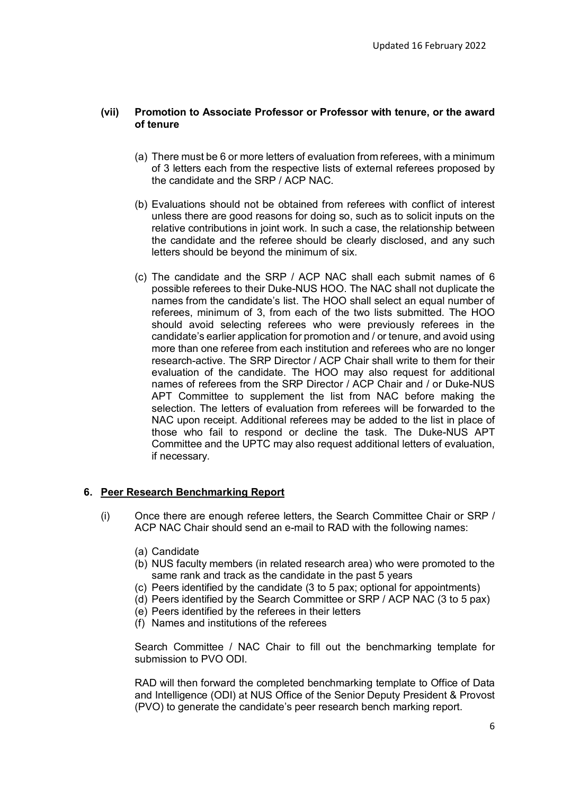#### **(vii) Promotion to Associate Professor or Professor with tenure, or the award of tenure**

- (a) There must be 6 or more letters of evaluation from referees, with a minimum of 3 letters each from the respective lists of external referees proposed by the candidate and the SRP / ACP NAC.
- (b) Evaluations should not be obtained from referees with conflict of interest unless there are good reasons for doing so, such as to solicit inputs on the relative contributions in joint work. In such a case, the relationship between the candidate and the referee should be clearly disclosed, and any such letters should be beyond the minimum of six.
- (c) The candidate and the SRP / ACP NAC shall each submit names of 6 possible referees to their Duke-NUS HOO. The NAC shall not duplicate the names from the candidate's list. The HOO shall select an equal number of referees, minimum of 3, from each of the two lists submitted. The HOO should avoid selecting referees who were previously referees in the candidate's earlier application for promotion and / or tenure, and avoid using more than one referee from each institution and referees who are no longer research-active. The SRP Director / ACP Chair shall write to them for their evaluation of the candidate. The HOO may also request for additional names of referees from the SRP Director / ACP Chair and / or Duke-NUS APT Committee to supplement the list from NAC before making the selection. The letters of evaluation from referees will be forwarded to the NAC upon receipt. Additional referees may be added to the list in place of those who fail to respond or decline the task. The Duke-NUS APT Committee and the UPTC may also request additional letters of evaluation, if necessary*.*

## **6. Peer Research Benchmarking Report**

- (i) Once there are enough referee letters, the Search Committee Chair or SRP / ACP NAC Chair should send an e-mail to RAD with the following names:
	- (a) Candidate
	- (b) NUS faculty members (in related research area) who were promoted to the same rank and track as the candidate in the past 5 years
	- (c) Peers identified by the candidate (3 to 5 pax; optional for appointments)
	- (d) Peers identified by the Search Committee or SRP / ACP NAC (3 to 5 pax)
	- (e) Peers identified by the referees in their letters
	- (f) Names and institutions of the referees

Search Committee / NAC Chair to fill out the benchmarking template for submission to PVO ODI.

RAD will then forward the completed benchmarking template to Office of Data and Intelligence (ODI) at NUS Office of the Senior Deputy President & Provost (PVO) to generate the candidate's peer research bench marking report.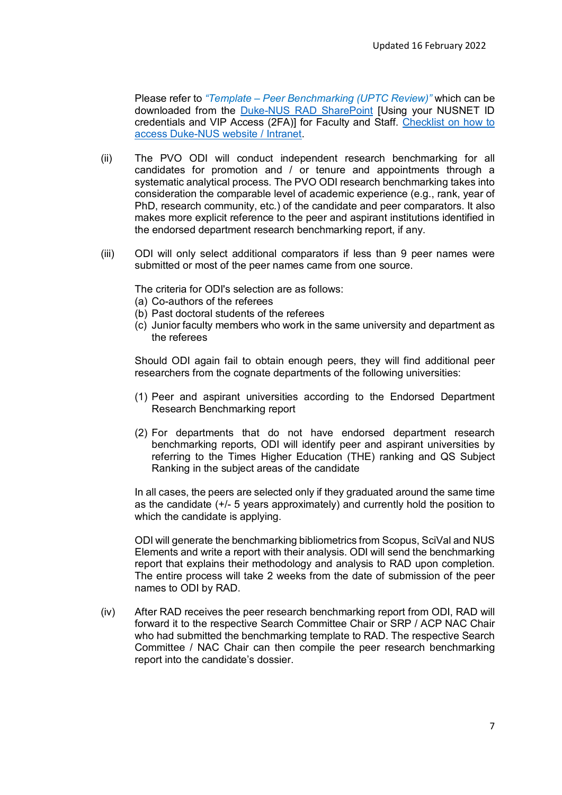Please refer to *"Template – Peer Benchmarking (UPTC Review)"* which can be downloaded from the [Duke-NUS RAD SharePoint](https://nusu.sharepoint.com/sites/duke-nus/RA/Pages/form.aspx) [Using your NUSNET ID credentials and VIP Access (2FA)] for Faculty and Staff. [Checklist on how to](https://www.duke-nus.edu.sg/docs/default-source/academic-medicine-docs/fdr/checklist-on-how-to-access-nus-sites-v1.pdf?sfvrsn=fa38d0ad_6)  [access Duke-NUS website / Intranet.](https://www.duke-nus.edu.sg/docs/default-source/academic-medicine-docs/fdr/checklist-on-how-to-access-nus-sites-v1.pdf?sfvrsn=fa38d0ad_6)

- (ii) The PVO ODI will conduct independent research benchmarking for all candidates for promotion and / or tenure and appointments through a systematic analytical process. The PVO ODI research benchmarking takes into consideration the comparable level of academic experience (e.g., rank, year of PhD, research community, etc.) of the candidate and peer comparators. It also makes more explicit reference to the peer and aspirant institutions identified in the endorsed department research benchmarking report, if any.
- (iii) ODI will only select additional comparators if less than 9 peer names were submitted or most of the peer names came from one source.

The criteria for ODI's selection are as follows:

- (a) Co-authors of the referees
- (b) Past doctoral students of the referees
- (c) Junior faculty members who work in the same university and department as the referees

Should ODI again fail to obtain enough peers, they will find additional peer researchers from the cognate departments of the following universities:

- (1) Peer and aspirant universities according to the Endorsed Department Research Benchmarking report
- (2) For departments that do not have endorsed department research benchmarking reports, ODI will identify peer and aspirant universities by referring to the Times Higher Education (THE) ranking and QS Subject Ranking in the subject areas of the candidate

In all cases, the peers are selected only if they graduated around the same time as the candidate (+/- 5 years approximately) and currently hold the position to which the candidate is applying.

ODI will generate the benchmarking bibliometrics from Scopus, SciVal and NUS Elements and write a report with their analysis. ODI will send the benchmarking report that explains their methodology and analysis to RAD upon completion. The entire process will take 2 weeks from the date of submission of the peer names to ODI by RAD.

(iv) After RAD receives the peer research benchmarking report from ODI, RAD will forward it to the respective Search Committee Chair or SRP / ACP NAC Chair who had submitted the benchmarking template to RAD. The respective Search Committee / NAC Chair can then compile the peer research benchmarking report into the candidate's dossier.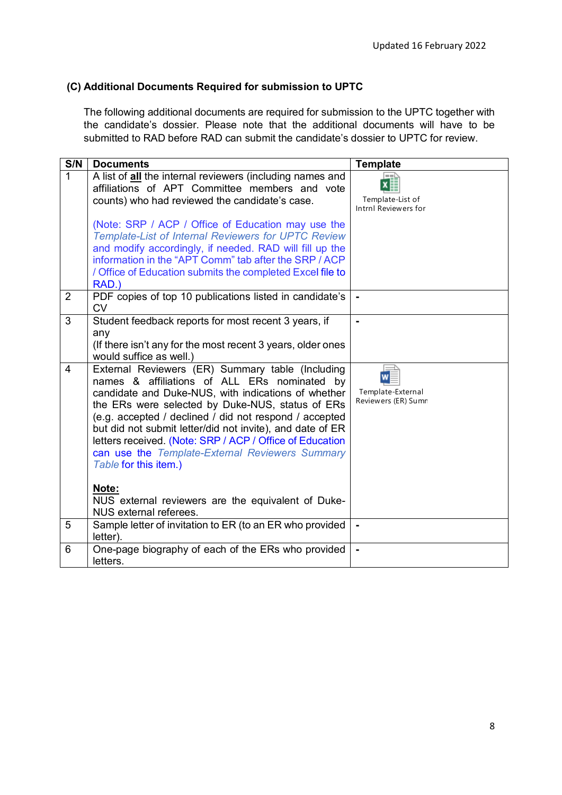# **(C) Additional Documents Required for submission to UPTC**

The following additional documents are required for submission to the UPTC together with the candidate's dossier. Please note that the additional documents will have to be submitted to RAD before RAD can submit the candidate's dossier to UPTC for review.

| S/N          | <b>Documents</b>                                                                                                                                                                                                                                                                                                                                                                                                                                                                    | <b>Template</b>                          |
|--------------|-------------------------------------------------------------------------------------------------------------------------------------------------------------------------------------------------------------------------------------------------------------------------------------------------------------------------------------------------------------------------------------------------------------------------------------------------------------------------------------|------------------------------------------|
| $\mathbf{1}$ | A list of all the internal reviewers (including names and<br>affiliations of APT Committee members and vote<br>counts) who had reviewed the candidate's case.                                                                                                                                                                                                                                                                                                                       | Template-List of<br>Intrnl Reviewers for |
|              | (Note: SRP / ACP / Office of Education may use the<br><b>Template-List of Internal Reviewers for UPTC Review</b><br>and modify accordingly, if needed. RAD will fill up the<br>information in the "APT Comm" tab after the SRP / ACP<br>/ Office of Education submits the completed Excel file to<br>RAD.)                                                                                                                                                                          |                                          |
| 2            | PDF copies of top 10 publications listed in candidate's<br><b>CV</b>                                                                                                                                                                                                                                                                                                                                                                                                                |                                          |
| 3            | Student feedback reports for most recent 3 years, if<br>any<br>(If there isn't any for the most recent 3 years, older ones<br>would suffice as well.)                                                                                                                                                                                                                                                                                                                               |                                          |
| 4            | External Reviewers (ER) Summary table (Including<br>names & affiliations of ALL ERs nominated by<br>candidate and Duke-NUS, with indications of whether<br>the ERs were selected by Duke-NUS, status of ERs<br>(e.g. accepted / declined / did not respond / accepted<br>but did not submit letter/did not invite), and date of ER<br>letters received. (Note: SRP / ACP / Office of Education<br>can use the Template-External Reviewers Summary<br>Table for this item.)<br>Note: | Template-External<br>Reviewers (ER) Sumn |
|              | NUS external reviewers are the equivalent of Duke-<br>NUS external referees.                                                                                                                                                                                                                                                                                                                                                                                                        |                                          |
| 5            | Sample letter of invitation to ER (to an ER who provided<br>letter).                                                                                                                                                                                                                                                                                                                                                                                                                |                                          |
| 6            | One-page biography of each of the ERs who provided<br>letters.                                                                                                                                                                                                                                                                                                                                                                                                                      |                                          |